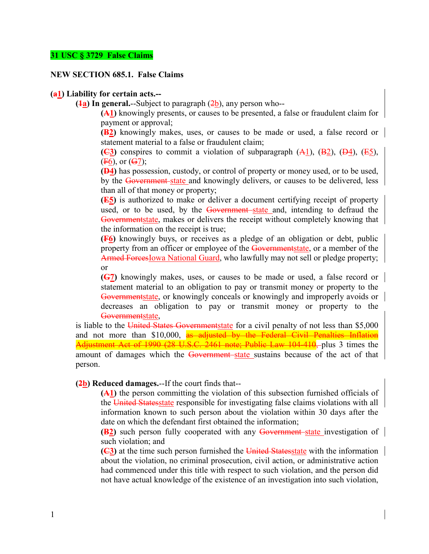#### **NEW SECTION 685.1. False Claims**

#### **(a1) Liability for certain acts.--**

**(1a) In general.**--Subject to paragraph (2b), any person who--

**(A1)** knowingly presents, or causes to be presented, a false or fraudulent claim for payment or approval;

**(B2)** knowingly makes, uses, or causes to be made or used, a false record or statement material to a false or fraudulent claim;

**(C3)** conspires to commit a violation of subparagraph (A1), (B2), (D4), (E5),  $(F6)$ , or  $(F7)$ ;

**(D4)** has possession, custody, or control of property or money used, or to be used, by the Government state and knowingly delivers, or causes to be delivered, less than all of that money or property;

**(E5)** is authorized to make or deliver a document certifying receipt of property used, or to be used, by the Government-state and, intending to defraud the Governmentstate, makes or delivers the receipt without completely knowing that the information on the receipt is true;

**(F6)** knowingly buys, or receives as a pledge of an obligation or debt, public property from an officer or employee of the Governmentstate, or a member of the Armed ForcesIowa National Guard, who lawfully may not sell or pledge property; or

**(G7)** knowingly makes, uses, or causes to be made or used, a false record or statement material to an obligation to pay or transmit money or property to the Governmentstate, or knowingly conceals or knowingly and improperly avoids or decreases an obligation to pay or transmit money or property to the Governmentstate,

is liable to the United States Government state for a civil penalty of not less than \$5,000 and not more than \$10,000, as adjusted by the Federal Civil Penalties Inflation Adjustment Act of 1990 (28 U.S.C. 2461 note; Public Law 104-410, plus 3 times the amount of damages which the Government-state sustains because of the act of that person.

**(2b) Reduced damages.**--If the court finds that--

**(A1)** the person committing the violation of this subsection furnished officials of the United Statesstate responsible for investigating false claims violations with all information known to such person about the violation within 30 days after the date on which the defendant first obtained the information;

**(B2)** such person fully cooperated with any Government-state investigation of such violation; and

**(C3)** at the time such person furnished the United Statesstate with the information about the violation, no criminal prosecution, civil action, or administrative action had commenced under this title with respect to such violation, and the person did not have actual knowledge of the existence of an investigation into such violation,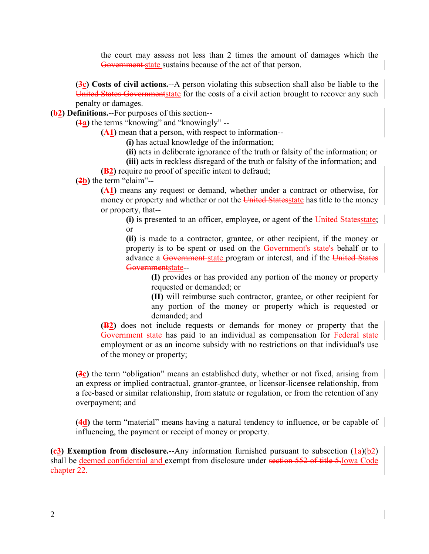the court may assess not less than 2 times the amount of damages which the Government state sustains because of the act of that person.

**(3c) Costs of civil actions.**--A person violating this subsection shall also be liable to the United States Governmentstate for the costs of a civil action brought to recover any such penalty or damages.

**(b2) Definitions.**--For purposes of this section--

**(1a)** the terms "knowing" and "knowingly" --

**(A1)** mean that a person, with respect to information--

**(i)** has actual knowledge of the information;

**(ii)** acts in deliberate ignorance of the truth or falsity of the information; or

**(iii)** acts in reckless disregard of the truth or falsity of the information; and

**(B2)** require no proof of specific intent to defraud;

**(2b)** the term "claim"--

**(A1)** means any request or demand, whether under a contract or otherwise, for money or property and whether or not the United Statesstate has title to the money or property, that--

**(i)** is presented to an officer, employee, or agent of the United Statesstate; or

**(ii)** is made to a contractor, grantee, or other recipient, if the money or property is to be spent or used on the Government's state's behalf or to advance a Government state program or interest, and if the United States Governmentstate--

**(I)** provides or has provided any portion of the money or property requested or demanded; or

**(II)** will reimburse such contractor, grantee, or other recipient for any portion of the money or property which is requested or demanded; and

**(B2)** does not include requests or demands for money or property that the Government state has paid to an individual as compensation for Federal state employment or as an income subsidy with no restrictions on that individual's use of the money or property;

**(3c)** the term "obligation" means an established duty, whether or not fixed, arising from an express or implied contractual, grantor-grantee, or licensor-licensee relationship, from a fee-based or similar relationship, from statute or regulation, or from the retention of any overpayment; and

**(4d)** the term "material" means having a natural tendency to influence, or be capable of  $\vert$ influencing, the payment or receipt of money or property.

**(c3) Exemption from disclosure.**--Any information furnished pursuant to subsection (1a)(b2) shall be deemed confidential and exempt from disclosure under section 552 of title 5.Iowa Code chapter 22.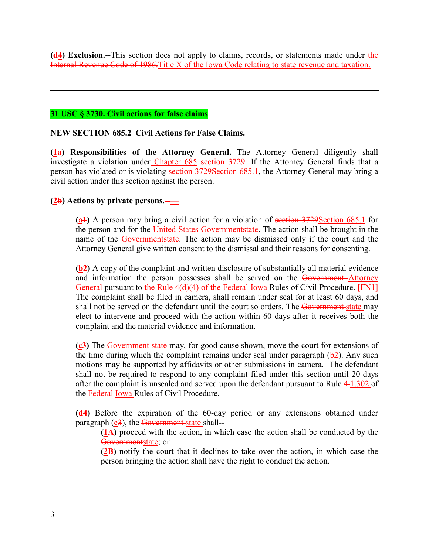**(d4) Exclusion.**--This section does not apply to claims, records, or statements made under the Internal Revenue Code of 1986.Title X of the Iowa Code relating to state revenue and taxation.

#### **31 USC § 3730. Civil actions for false claims**

#### **NEW SECTION 685.2 Civil Actions for False Claims.**

**(1a) Responsibilities of the Attorney General.**--The Attorney General diligently shall investigate a violation under Chapter 685 section 3729. If the Attorney General finds that a person has violated or is violating section 3729Section 685.1, the Attorney General may bring a civil action under this section against the person.

## **(2b) Actions by private persons.--—**

**(a1)** A person may bring a civil action for a violation of section 3729Section 685.1 for the person and for the United States Governmentstate. The action shall be brought in the name of the Governmentstate. The action may be dismissed only if the court and the Attorney General give written consent to the dismissal and their reasons for consenting.

**(b2)** A copy of the complaint and written disclosure of substantially all material evidence and information the person possesses shall be served on the Government-Attorney General pursuant to the Rule 4(d)(4) of the Federal Iowa Rules of Civil Procedure. [FN1] The complaint shall be filed in camera, shall remain under seal for at least 60 days, and shall not be served on the defendant until the court so orders. The Government-state may elect to intervene and proceed with the action within 60 days after it receives both the complaint and the material evidence and information.

**(c3)** The Government state may, for good cause shown, move the court for extensions of the time during which the complaint remains under seal under paragraph  $(b2)$ . Any such motions may be supported by affidavits or other submissions in camera. The defendant shall not be required to respond to any complaint filed under this section until 20 days after the complaint is unsealed and served upon the defendant pursuant to Rule  $4\frac{1.302}{1.302}$  of the Federal Iowa Rules of Civil Procedure.

**(d4)** Before the expiration of the 60-day period or any extensions obtained under paragraph (c<sup>3</sup>), the Government-state shall--

**(1A)** proceed with the action, in which case the action shall be conducted by the Governmentstate; or

**(2B)** notify the court that it declines to take over the action, in which case the person bringing the action shall have the right to conduct the action.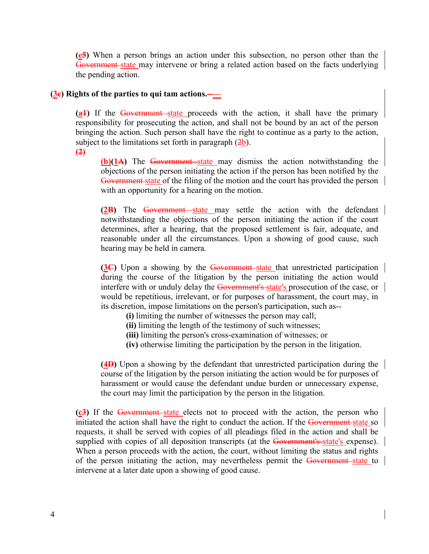**(e5)** When a person brings an action under this subsection, no person other than the Government state may intervene or bring a related action based on the facts underlying the pending action.

### **(3c) Rights of the parties to qui tam actions.--—**

**(a1)** If the Government state proceeds with the action, it shall have the primary responsibility for prosecuting the action, and shall not be bound by an act of the person bringing the action. Such person shall have the right to continue as a party to the action, subject to the limitations set forth in paragraph  $(2b)$ .

**(2)**

**(b)(1A)** The Government state may dismiss the action notwithstanding the objections of the person initiating the action if the person has been notified by the Government state of the filing of the motion and the court has provided the person with an opportunity for a hearing on the motion.

**(2B)** The Government state may settle the action with the defendant notwithstanding the objections of the person initiating the action if the court determines, after a hearing, that the proposed settlement is fair, adequate, and reasonable under all the circumstances. Upon a showing of good cause, such hearing may be held in camera.

**(3C)** Upon a showing by the Government-state that unrestricted participation during the course of the litigation by the person initiating the action would interfere with or unduly delay the Government's state's prosecution of the case, or  $\parallel$ would be repetitious, irrelevant, or for purposes of harassment, the court may, in its discretion, impose limitations on the person's participation, such as--

- **(i)** limiting the number of witnesses the person may call;
- **(ii)** limiting the length of the testimony of such witnesses;
- **(iii)** limiting the person's cross-examination of witnesses; or
- **(iv)** otherwise limiting the participation by the person in the litigation.

**(4D)** Upon a showing by the defendant that unrestricted participation during the course of the litigation by the person initiating the action would be for purposes of harassment or would cause the defendant undue burden or unnecessary expense, the court may limit the participation by the person in the litigation.

**(c3)** If the Government state elects not to proceed with the action, the person who initiated the action shall have the right to conduct the action. If the Government-state so requests, it shall be served with copies of all pleadings filed in the action and shall be supplied with copies of all deposition transcripts (at the Government's state's expense). When a person proceeds with the action, the court, without limiting the status and rights of the person initiating the action, may nevertheless permit the Government-state to  $\vert$ intervene at a later date upon a showing of good cause.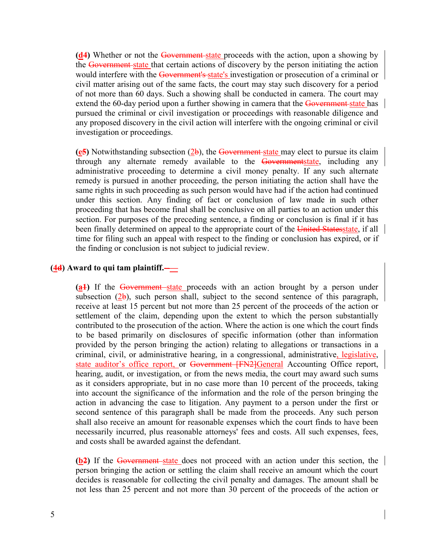**(d4)** Whether or not the Government state proceeds with the action, upon a showing by the Government state that certain actions of discovery by the person initiating the action would interfere with the Government's state's investigation or prosecution of a criminal or civil matter arising out of the same facts, the court may stay such discovery for a period of not more than 60 days. Such a showing shall be conducted in camera. The court may extend the 60-day period upon a further showing in camera that the Government-state has pursued the criminal or civil investigation or proceedings with reasonable diligence and any proposed discovery in the civil action will interfere with the ongoing criminal or civil investigation or proceedings.

 $(e<sub>5</sub>)$  Notwithstanding subsection  $(2b)$ , the Government-state may elect to pursue its claim through any alternate remedy available to the Governmentstate, including any administrative proceeding to determine a civil money penalty. If any such alternate remedy is pursued in another proceeding, the person initiating the action shall have the same rights in such proceeding as such person would have had if the action had continued under this section. Any finding of fact or conclusion of law made in such other proceeding that has become final shall be conclusive on all parties to an action under this section. For purposes of the preceding sentence, a finding or conclusion is final if it has been finally determined on appeal to the appropriate court of the United Statesstate, if all time for filing such an appeal with respect to the finding or conclusion has expired, or if the finding or conclusion is not subject to judicial review.

## **(4d)** Award to qui tam plaintiff.—

(a<sup>1</sup>) If the Government state proceeds with an action brought by a person under subsection  $(2b)$ , such person shall, subject to the second sentence of this paragraph, receive at least 15 percent but not more than 25 percent of the proceeds of the action or settlement of the claim, depending upon the extent to which the person substantially contributed to the prosecution of the action. Where the action is one which the court finds to be based primarily on disclosures of specific information (other than information provided by the person bringing the action) relating to allegations or transactions in a criminal, civil, or administrative hearing, in a congressional, administrative, legislative, state auditor's office report, or Government [FN2]General Accounting Office report, hearing, audit, or investigation, or from the news media, the court may award such sums as it considers appropriate, but in no case more than 10 percent of the proceeds, taking into account the significance of the information and the role of the person bringing the action in advancing the case to litigation. Any payment to a person under the first or second sentence of this paragraph shall be made from the proceeds. Any such person shall also receive an amount for reasonable expenses which the court finds to have been necessarily incurred, plus reasonable attorneys' fees and costs. All such expenses, fees, and costs shall be awarded against the defendant.

**(b2)** If the Government state does not proceed with an action under this section, the person bringing the action or settling the claim shall receive an amount which the court decides is reasonable for collecting the civil penalty and damages. The amount shall be not less than 25 percent and not more than 30 percent of the proceeds of the action or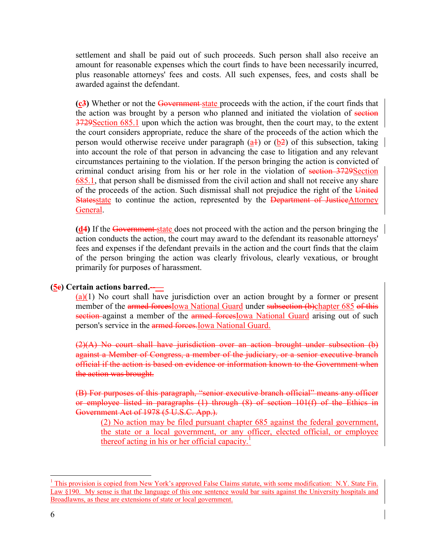settlement and shall be paid out of such proceeds. Such person shall also receive an amount for reasonable expenses which the court finds to have been necessarily incurred, plus reasonable attorneys' fees and costs. All such expenses, fees, and costs shall be awarded against the defendant.

**(c3)** Whether or not the Government state proceeds with the action, if the court finds that the action was brought by a person who planned and initiated the violation of section 3729 Section 685.1 upon which the action was brought, then the court may, to the extent the court considers appropriate, reduce the share of the proceeds of the action which the person would otherwise receive under paragraph  $(a+)$  or  $(b+2)$  of this subsection, taking into account the role of that person in advancing the case to litigation and any relevant circumstances pertaining to the violation. If the person bringing the action is convicted of criminal conduct arising from his or her role in the violation of section 3729Section 685.1, that person shall be dismissed from the civil action and shall not receive any share of the proceeds of the action. Such dismissal shall not prejudice the right of the United Statesstate to continue the action, represented by the Department of JusticeAttorney General.

**(d4)** If the Government state does not proceed with the action and the person bringing the action conducts the action, the court may award to the defendant its reasonable attorneys' fees and expenses if the defendant prevails in the action and the court finds that the claim of the person bringing the action was clearly frivolous, clearly vexatious, or brought primarily for purposes of harassment.

### **(5e) Certain actions barred.--—**

 $(a)(1)$  No court shall have jurisdiction over an action brought by a former or present member of the armed forcesIowa National Guard under subsection (b)chapter 685 of this section against a member of the armed forcesIowa National Guard arising out of such person's service in the armed forces. Iowa National Guard.

(2)(A) No court shall have jurisdiction over an action brought under subsection (b) against a Member of Congress, a member of the judiciary, or a senior executive branch official if the action is based on evidence or information known to the Government when the action was brought.

(B) For purposes of this paragraph, "senior executive branch official" means any officer or employee listed in paragraphs (1) through (8) of section 101(f) of the Ethics in Government Act of 1978 (5 U.S.C. App.).

(2) No action may be filed pursuant chapter 685 against the federal government, the state or a local government, or any officer, elected official, or employee thereof acting in his or her official capacity.<sup>1</sup>

<sup>&</sup>lt;sup>1</sup> This provision is copied from New York's approved False Claims statute, with some modification: N.Y. State Fin. Law \$190. My sense is that the language of this one sentence would bar suits against the University hospitals and Broadlawns, as these are extensions of state or local government.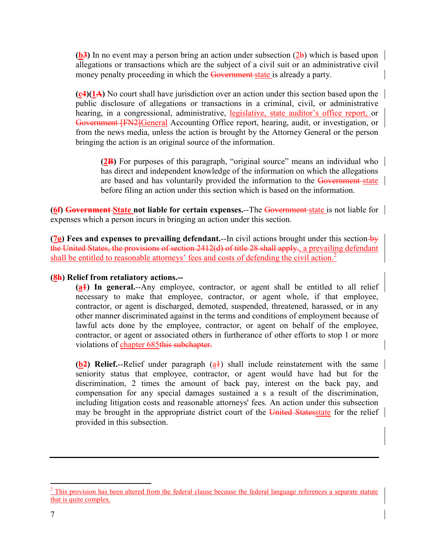**(b3)** In no event may a person bring an action under subsection  $(2\theta)$  which is based upon allegations or transactions which are the subject of a civil suit or an administrative civil money penalty proceeding in which the Government-state is already a party.

**(c4)(1A)** No court shall have jurisdiction over an action under this section based upon the public disclosure of allegations or transactions in a criminal, civil, or administrative hearing, in a congressional, administrative, legislative, state auditor's office report, or Government [FN2]General Accounting Office report, hearing, audit, or investigation, or from the news media, unless the action is brought by the Attorney General or the person bringing the action is an original source of the information.

**(2B)** For purposes of this paragraph, "original source" means an individual who has direct and independent knowledge of the information on which the allegations are based and has voluntarily provided the information to the Government state before filing an action under this section which is based on the information.

**(6f) Government State not liable for certain expenses.**--The Government state is not liable for expenses which a person incurs in bringing an action under this section.

(7g) Fees and expenses to prevailing defendant.--In civil actions brought under this section-by the United States, the provisions of section 2412(d) of title 28 shall apply., a prevailing defendant shall be entitled to reasonable attorneys' fees and costs of defending the civil action.<sup>2</sup>

## **(8h) Relief from retaliatory actions.--**

**(a1) In general.**--Any employee, contractor, or agent shall be entitled to all relief necessary to make that employee, contractor, or agent whole, if that employee, contractor, or agent is discharged, demoted, suspended, threatened, harassed, or in any other manner discriminated against in the terms and conditions of employment because of lawful acts done by the employee, contractor, or agent on behalf of the employee, contractor, or agent or associated others in furtherance of other efforts to stop 1 or more violations of chapter 685this subchapter.

**(b2)** Relief.--Relief under paragraph  $(a+)$  shall include reinstatement with the same seniority status that employee, contractor, or agent would have had but for the discrimination, 2 times the amount of back pay, interest on the back pay, and compensation for any special damages sustained a s a result of the discrimination, including litigation costs and reasonable attorneys' fees. An action under this subsection may be brought in the appropriate district court of the United Statesstate for the relief provided in this subsection.

 $2$  This provision has been altered from the federal clause because the federal language references a separate statute that is quite complex.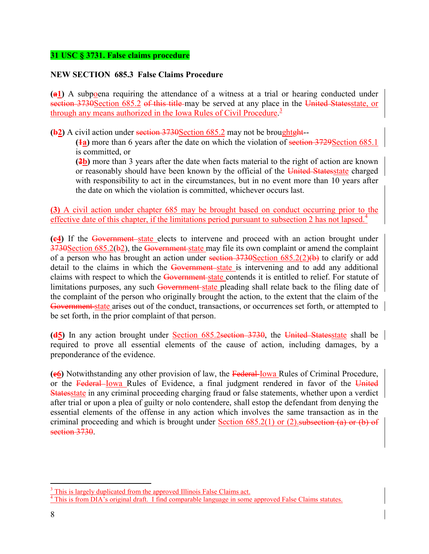# **31 USC § 3731. False claims procedure**

## **NEW SECTION 685.3 False Claims Procedure**

**(a1)** A subpoena requiring the attendance of a witness at a trial or hearing conducted under section 3730 Section 685.2 of this title may be served at any place in the United Statesstate, or through any means authorized in the Iowa Rules of Civil Procedure.<sup>3</sup>

**(b2)** A civil action under section 3730 Section 685.2 may not be broughtght--

**(1a)** more than 6 years after the date on which the violation of section 3729Section 685.1 is committed, or

**(2b)** more than 3 years after the date when facts material to the right of action are known or reasonably should have been known by the official of the United Statesstate charged with responsibility to act in the circumstances, but in no event more than 10 years after the date on which the violation is committed, whichever occurs last.

**(3)** A civil action under chapter 685 may be brought based on conduct occurring prior to the effective date of this chapter, if the limitations period pursuant to subsection 2 has not lapsed.<sup>4</sup>

**(c4)** If the Government state elects to intervene and proceed with an action brought under  $3730$ Section  $685.2(b2)$ , the Government state may file its own complaint or amend the complaint of a person who has brought an action under section  $3730$  Section  $685.2(2)(b)$  to clarify or add detail to the claims in which the Government state is intervening and to add any additional claims with respect to which the Government state contends it is entitled to relief. For statute of limitations purposes, any such Government state pleading shall relate back to the filing date of the complaint of the person who originally brought the action, to the extent that the claim of the Government state arises out of the conduct, transactions, or occurrences set forth, or attempted to be set forth, in the prior complaint of that person.

**(d5)** In any action brought under Section 685.2section 3730, the United Statesstate shall be required to prove all essential elements of the cause of action, including damages, by a preponderance of the evidence.

**(e6)** Notwithstanding any other provision of law, the Federal Iowa Rules of Criminal Procedure, or the Federal Iowa Rules of Evidence, a final judgment rendered in favor of the United Statesstate in any criminal proceeding charging fraud or false statements, whether upon a verdict after trial or upon a plea of guilty or nolo contendere, shall estop the defendant from denying the essential elements of the offense in any action which involves the same transaction as in the criminal proceeding and which is brought under Section  $685.2(1)$  or  $(2)$ . subsection  $(a)$  or  $(b)$  of section 3730

 $3$  This is largely duplicated from the approved Illinois False Claims act.

<sup>&</sup>lt;sup>4</sup> This is from DIA's original draft. I find comparable language in some approved False Claims statutes.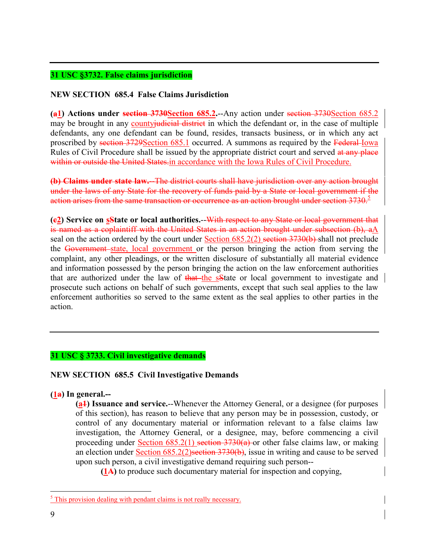# **31 USC §3732. False claims jurisdiction**

## **NEW SECTION 685.4 False Claims Jurisdiction**

**(a1) Actions under section 3730 Section 685.2.**--Any action under section 3730 Section 685.2 may be brought in any countyjudicial district in which the defendant or, in the case of multiple defendants, any one defendant can be found, resides, transacts business, or in which any act proscribed by section 3729Section 685.1 occurred. A summons as required by the Federal Iowa Rules of Civil Procedure shall be issued by the appropriate district court and served at any place within or outside the United States.in accordance with the Iowa Rules of Civil Procedure.

**(b) Claims under state law.**--The district courts shall have jurisdiction over any action brought under the laws of any State for the recovery of funds paid by a State or local government if the action arises from the same transaction or occurrence as an action brought under section 3730.<sup>5</sup>

**(c2) Service on sState or local authorities.**--With respect to any State or local government that is named as a coplaintiff with the United States in an action brought under subsection (b),  $a\Lambda$ seal on the action ordered by the court under Section 685.2(2) section 3730(b) shall not preclude the Government state, local government or the person bringing the action from serving the complaint, any other pleadings, or the written disclosure of substantially all material evidence and information possessed by the person bringing the action on the law enforcement authorities that are authorized under the law of that the sState or local government to investigate and prosecute such actions on behalf of such governments, except that such seal applies to the law enforcement authorities so served to the same extent as the seal applies to other parties in the action.

## **31 USC § 3733. Civil investigative demands**

## **NEW SECTION 685.5 Civil Investigative Demands**

## **(1a) In general.--**

**(a1) Issuance and service.**--Whenever the Attorney General, or a designee (for purposes of this section), has reason to believe that any person may be in possession, custody, or control of any documentary material or information relevant to a false claims law investigation, the Attorney General, or a designee, may, before commencing a civil proceeding under Section  $685.2(1)$  section  $3730(a)$  or other false claims law, or making an election under Section 685.2(2) section 3730(b), issue in writing and cause to be served upon such person, a civil investigative demand requiring such person--

**(1A)** to produce such documentary material for inspection and copying,

 $<sup>5</sup>$  This provision dealing with pendant claims is not really necessary.</sup>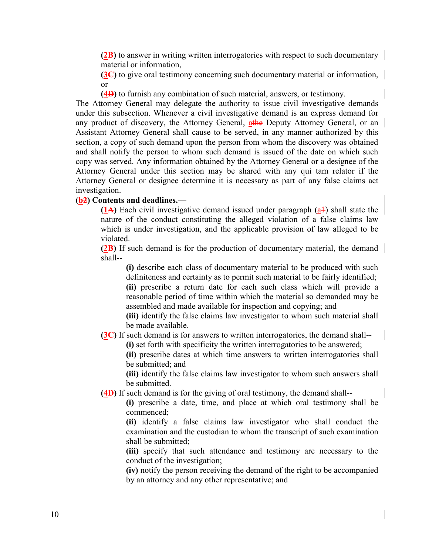**(2B)** to answer in writing written interrogatories with respect to such documentary material or information,

**(3C)** to give oral testimony concerning such documentary material or information, or

**(4D)** to furnish any combination of such material, answers, or testimony.

The Attorney General may delegate the authority to issue civil investigative demands under this subsection. Whenever a civil investigative demand is an express demand for any product of discovery, the Attorney General, athe Deputy Attorney General, or an Assistant Attorney General shall cause to be served, in any manner authorized by this section, a copy of such demand upon the person from whom the discovery was obtained and shall notify the person to whom such demand is issued of the date on which such copy was served. Any information obtained by the Attorney General or a designee of the Attorney General under this section may be shared with any qui tam relator if the Attorney General or designee determine it is necessary as part of any false claims act investigation.

## **(b2) Contents and deadlines.—**

 $(1A)$  Each civil investigative demand issued under paragraph  $(a<sup>1</sup>)$  shall state the nature of the conduct constituting the alleged violation of a false claims law which is under investigation, and the applicable provision of law alleged to be violated.

**(2B)** If such demand is for the production of documentary material, the demand shall--

**(i)** describe each class of documentary material to be produced with such definiteness and certainty as to permit such material to be fairly identified; **(ii)** prescribe a return date for each such class which will provide a

reasonable period of time within which the material so demanded may be assembled and made available for inspection and copying; and

**(iii)** identify the false claims law investigator to whom such material shall be made available.

**(3C)** If such demand is for answers to written interrogatories, the demand shall--

**(i)** set forth with specificity the written interrogatories to be answered;

**(ii)** prescribe dates at which time answers to written interrogatories shall be submitted; and

**(iii)** identify the false claims law investigator to whom such answers shall be submitted.

**(4D)** If such demand is for the giving of oral testimony, the demand shall--

**(i)** prescribe a date, time, and place at which oral testimony shall be commenced;

**(ii)** identify a false claims law investigator who shall conduct the examination and the custodian to whom the transcript of such examination shall be submitted;

**(iii)** specify that such attendance and testimony are necessary to the conduct of the investigation;

**(iv)** notify the person receiving the demand of the right to be accompanied by an attorney and any other representative; and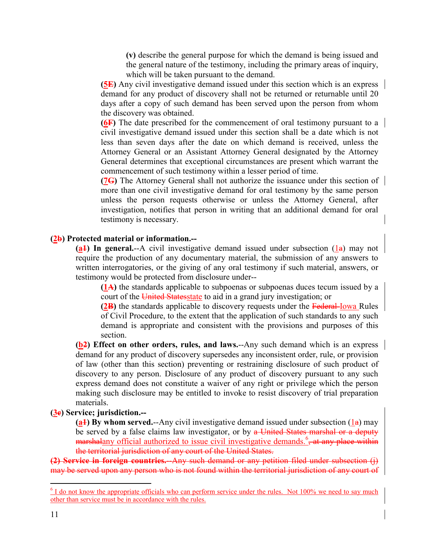**(v)** describe the general purpose for which the demand is being issued and the general nature of the testimony, including the primary areas of inquiry, which will be taken pursuant to the demand.

**(5E)** Any civil investigative demand issued under this section which is an express demand for any product of discovery shall not be returned or returnable until 20 days after a copy of such demand has been served upon the person from whom the discovery was obtained.

**(6F)** The date prescribed for the commencement of oral testimony pursuant to a civil investigative demand issued under this section shall be a date which is not less than seven days after the date on which demand is received, unless the Attorney General or an Assistant Attorney General designated by the Attorney General determines that exceptional circumstances are present which warrant the commencement of such testimony within a lesser period of time.

**(7G)** The Attorney General shall not authorize the issuance under this section of more than one civil investigative demand for oral testimony by the same person unless the person requests otherwise or unless the Attorney General, after investigation, notifies that person in writing that an additional demand for oral testimony is necessary.

## **(2b) Protected material or information.--**

 $(a<sup>4</sup>)$  In general.--A civil investigative demand issued under subsection  $(1a)$  may not require the production of any documentary material, the submission of any answers to written interrogatories, or the giving of any oral testimony if such material, answers, or testimony would be protected from disclosure under--

**(1A)** the standards applicable to subpoenas or subpoenas duces tecum issued by a court of the United Statesstate to aid in a grand jury investigation; or

**(2B)** the standards applicable to discovery requests under the Federal-Iowa Rules of Civil Procedure, to the extent that the application of such standards to any such demand is appropriate and consistent with the provisions and purposes of this section.

**(b2) Effect on other orders, rules, and laws.**--Any such demand which is an express demand for any product of discovery supersedes any inconsistent order, rule, or provision of law (other than this section) preventing or restraining disclosure of such product of discovery to any person. Disclosure of any product of discovery pursuant to any such express demand does not constitute a waiver of any right or privilege which the person making such disclosure may be entitled to invoke to resist discovery of trial preparation materials.

# **(3c) Service; jurisdiction.--**

**(a4) By whom served.**--Any civil investigative demand issued under subsection (1a) may be served by a false claims law investigator, or by a United States marshal or a deputy marshalany official authorized to issue civil investigative demands.<sup>6</sup>, at any place within the territorial jurisdiction of any court of the United States.

**(2) Service in foreign countries.**-Any such demand or any petition filed under subsection (j) may be served upon any person who is not found within the territorial jurisdiction of any court of

 $6$  I do not know the appropriate officials who can perform service under the rules. Not 100% we need to say much other than service must be in accordance with the rules.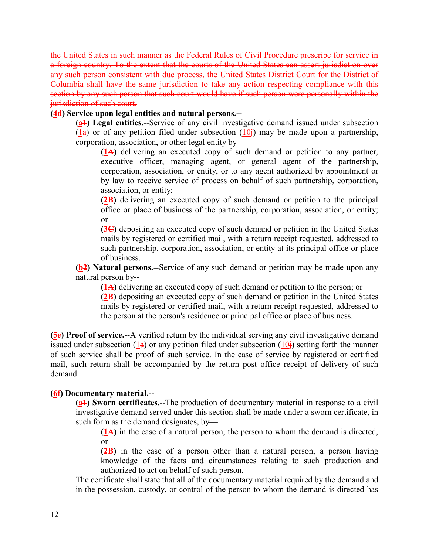the United States in such manner as the Federal Rules of Civil Procedure prescribe for service in a foreign country. To the extent that the courts of the United States can assert jurisdiction over any such person consistent with due process, the United States District Court for the District of Columbia shall have the same jurisdiction to take any action respecting compliance with this section by any such person that such court would have if such person were personally within the jurisdiction of such court.

## **(4d) Service upon legal entities and natural persons.--**

**(a1) Legal entities.**--Service of any civil investigative demand issued under subsection  $(1a)$  or of any petition filed under subsection  $(10<sub>i</sub>)$  may be made upon a partnership, corporation, association, or other legal entity by--

**(1A)** delivering an executed copy of such demand or petition to any partner, executive officer, managing agent, or general agent of the partnership, corporation, association, or entity, or to any agent authorized by appointment or by law to receive service of process on behalf of such partnership, corporation, association, or entity;

**(2B)** delivering an executed copy of such demand or petition to the principal office or place of business of the partnership, corporation, association, or entity; or

**(3C)** depositing an executed copy of such demand or petition in the United States mails by registered or certified mail, with a return receipt requested, addressed to such partnership, corporation, association, or entity at its principal office or place of business.

**(b2) Natural persons.**--Service of any such demand or petition may be made upon any natural person by--

**(1A)** delivering an executed copy of such demand or petition to the person; or

**(2B)** depositing an executed copy of such demand or petition in the United States mails by registered or certified mail, with a return receipt requested, addressed to the person at the person's residence or principal office or place of business.

**(5e) Proof of service.**--A verified return by the individual serving any civil investigative demand issued under subsection ( $1a$ ) or any petition filed under subsection ( $10<sub>i</sub>$ ) setting forth the manner of such service shall be proof of such service. In the case of service by registered or certified mail, such return shall be accompanied by the return post office receipt of delivery of such demand.

## **(6f) Documentary material.--**

(a<sup>1</sup>) Sworn certificates.--The production of documentary material in response to a civil investigative demand served under this section shall be made under a sworn certificate, in such form as the demand designates, by—

**(1A)** in the case of a natural person, the person to whom the demand is directed, or

**(2B)** in the case of a person other than a natural person, a person having knowledge of the facts and circumstances relating to such production and authorized to act on behalf of such person.

The certificate shall state that all of the documentary material required by the demand and in the possession, custody, or control of the person to whom the demand is directed has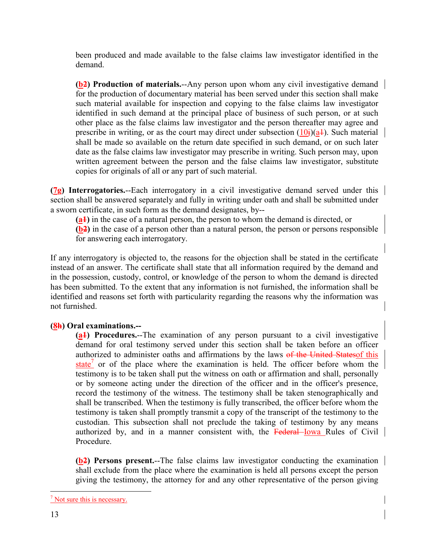been produced and made available to the false claims law investigator identified in the demand.

**(b<sub>2</sub>) Production of materials.**--Any person upon whom any civil investigative demand for the production of documentary material has been served under this section shall make such material available for inspection and copying to the false claims law investigator identified in such demand at the principal place of business of such person, or at such other place as the false claims law investigator and the person thereafter may agree and prescribe in writing, or as the court may direct under subsection  $(10<sub>i</sub>)(a<sup>1</sup>)$ . Such material shall be made so available on the return date specified in such demand, or on such later date as the false claims law investigator may prescribe in writing. Such person may, upon written agreement between the person and the false claims law investigator, substitute copies for originals of all or any part of such material.

**(7g) Interrogatories.**--Each interrogatory in a civil investigative demand served under this section shall be answered separately and fully in writing under oath and shall be submitted under a sworn certificate, in such form as the demand designates, by--

**(a1)** in the case of a natural person, the person to whom the demand is directed, or

**(b2)** in the case of a person other than a natural person, the person or persons responsible for answering each interrogatory.

If any interrogatory is objected to, the reasons for the objection shall be stated in the certificate instead of an answer. The certificate shall state that all information required by the demand and in the possession, custody, control, or knowledge of the person to whom the demand is directed has been submitted. To the extent that any information is not furnished, the information shall be identified and reasons set forth with particularity regarding the reasons why the information was not furnished.

# **(8h) Oral examinations.--**

**(a1) Procedures.**--The examination of any person pursuant to a civil investigative demand for oral testimony served under this section shall be taken before an officer authorized to administer oaths and affirmations by the laws of the United Statesof this state<sup>7</sup> or of the place where the examination is held. The officer before whom the testimony is to be taken shall put the witness on oath or affirmation and shall, personally or by someone acting under the direction of the officer and in the officer's presence, record the testimony of the witness. The testimony shall be taken stenographically and shall be transcribed. When the testimony is fully transcribed, the officer before whom the testimony is taken shall promptly transmit a copy of the transcript of the testimony to the custodian. This subsection shall not preclude the taking of testimony by any means authorized by, and in a manner consistent with, the Federal–Iowa Rules of Civil  $\vert$ Procedure.

**(b2)** Persons present.--The false claims law investigator conducting the examination | shall exclude from the place where the examination is held all persons except the person giving the testimony, the attorney for and any other representative of the person giving

 $\frac{7}{7}$  Not sure this is necessary.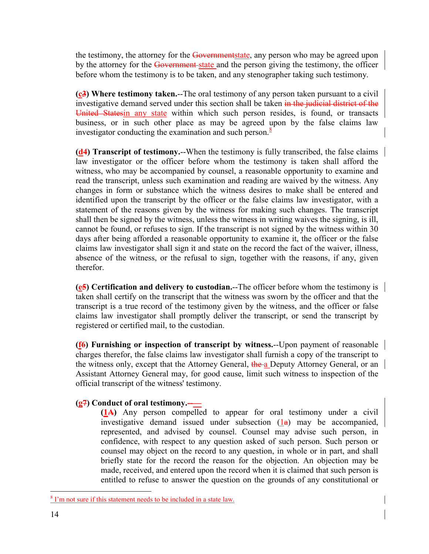the testimony, the attorney for the Government state, any person who may be agreed upon by the attorney for the Government state and the person giving the testimony, the officer before whom the testimony is to be taken, and any stenographer taking such testimony.

**(c3) Where testimony taken.**--The oral testimony of any person taken pursuant to a civil investigative demand served under this section shall be taken in the judicial district of the United Statesin any state within which such person resides, is found, or transacts business, or in such other place as may be agreed upon by the false claims law investigator conducting the examination and such person. $\frac{8}{3}$ 

**(d4) Transcript of testimony.**--When the testimony is fully transcribed, the false claims law investigator or the officer before whom the testimony is taken shall afford the witness, who may be accompanied by counsel, a reasonable opportunity to examine and read the transcript, unless such examination and reading are waived by the witness. Any changes in form or substance which the witness desires to make shall be entered and identified upon the transcript by the officer or the false claims law investigator, with a statement of the reasons given by the witness for making such changes. The transcript shall then be signed by the witness, unless the witness in writing waives the signing, is ill, cannot be found, or refuses to sign. If the transcript is not signed by the witness within 30 days after being afforded a reasonable opportunity to examine it, the officer or the false claims law investigator shall sign it and state on the record the fact of the waiver, illness, absence of the witness, or the refusal to sign, together with the reasons, if any, given therefor.

**(e5) Certification and delivery to custodian.**--The officer before whom the testimony is taken shall certify on the transcript that the witness was sworn by the officer and that the transcript is a true record of the testimony given by the witness, and the officer or false claims law investigator shall promptly deliver the transcript, or send the transcript by registered or certified mail, to the custodian.

**(f6) Furnishing or inspection of transcript by witness.**--Upon payment of reasonable charges therefor, the false claims law investigator shall furnish a copy of the transcript to the witness only, except that the Attorney General, the a Deputy Attorney General, or an Assistant Attorney General may, for good cause, limit such witness to inspection of the official transcript of the witness' testimony.

# **(g7) Conduct of oral testimony.--—**

**(1A)** Any person compelled to appear for oral testimony under a civil investigative demand issued under subsection  $(1a)$  may be accompanied, represented, and advised by counsel. Counsel may advise such person, in confidence, with respect to any question asked of such person. Such person or counsel may object on the record to any question, in whole or in part, and shall briefly state for the record the reason for the objection. An objection may be made, received, and entered upon the record when it is claimed that such person is entitled to refuse to answer the question on the grounds of any constitutional or

<sup>&</sup>lt;sup>8</sup> I'm not sure if this statement needs to be included in a state law.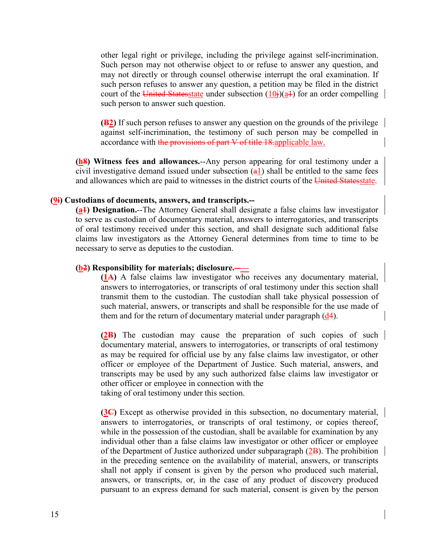other legal right or privilege, including the privilege against self-incrimination. Such person may not otherwise object to or refuse to answer any question, and may not directly or through counsel otherwise interrupt the oral examination. If such person refuses to answer any question, a petition may be filed in the district court of the United Statesstate under subsection  $(10<sub>i</sub>)(a<sup>1</sup>)$  for an order compelling such person to answer such question.

**(B2)** If such person refuses to answer any question on the grounds of the privilege against self-incrimination, the testimony of such person may be compelled in accordance with the provisions of part V of title 18.applicable law.

**(h8) Witness fees and allowances.**--Any person appearing for oral testimony under a civil investigative demand issued under subsection  $(a_1)$  shall be entitled to the same fees and allowances which are paid to witnesses in the district courts of the United Statesstate.

#### **(9i) Custodians of documents, answers, and transcripts.--**

(a<sup>1</sup>) Designation.--The Attorney General shall designate a false claims law investigator to serve as custodian of documentary material, answers to interrogatories, and transcripts of oral testimony received under this section, and shall designate such additional false claims law investigators as the Attorney General determines from time to time to be necessary to serve as deputies to the custodian.

#### **(b2) Responsibility for materials; disclosure.--—**

**(1A)** A false claims law investigator who receives any documentary material, answers to interrogatories, or transcripts of oral testimony under this section shall transmit them to the custodian. The custodian shall take physical possession of such material, answers, or transcripts and shall be responsible for the use made of them and for the return of documentary material under paragraph (d4).

**(2B)** The custodian may cause the preparation of such copies of such documentary material, answers to interrogatories, or transcripts of oral testimony as may be required for official use by any false claims law investigator, or other officer or employee of the Department of Justice. Such material, answers, and transcripts may be used by any such authorized false claims law investigator or other officer or employee in connection with the taking of oral testimony under this section.

**(3C)** Except as otherwise provided in this subsection, no documentary material, answers to interrogatories, or transcripts of oral testimony, or copies thereof, while in the possession of the custodian, shall be available for examination by any individual other than a false claims law investigator or other officer or employee of the Department of Justice authorized under subparagraph  $(2B)$ . The prohibition in the preceding sentence on the availability of material, answers, or transcripts shall not apply if consent is given by the person who produced such material, answers, or transcripts, or, in the case of any product of discovery produced pursuant to an express demand for such material, consent is given by the person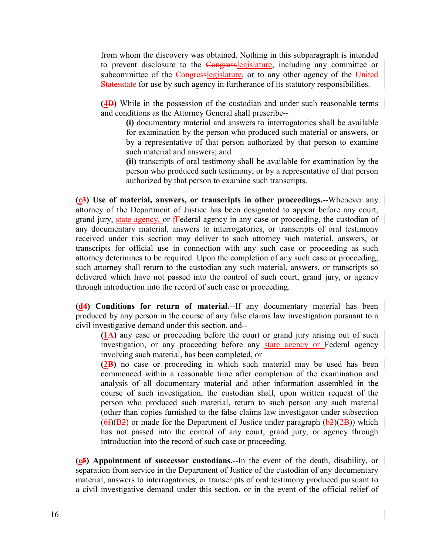from whom the discovery was obtained. Nothing in this subparagraph is intended to prevent disclosure to the Congresslegislature, including any committee or subcommittee of the Congresslegislature, or to any other agency of the United Statesstate for use by such agency in furtherance of its statutory responsibilities.

**(4D)** While in the possession of the custodian and under such reasonable terms and conditions as the Attorney General shall prescribe--

**(i)** documentary material and answers to interrogatories shall be available for examination by the person who produced such material or answers, or by a representative of that person authorized by that person to examine such material and answers; and

**(ii)** transcripts of oral testimony shall be available for examination by the person who produced such testimony, or by a representative of that person authorized by that person to examine such transcripts.

**(c3) Use of material, answers, or transcripts in other proceedings.**--Whenever any attorney of the Department of Justice has been designated to appear before any court, grand jury, state agency, or fFederal agency in any case or proceeding, the custodian of any documentary material, answers to interrogatories, or transcripts of oral testimony received under this section may deliver to such attorney such material, answers, or transcripts for official use in connection with any such case or proceeding as such attorney determines to be required. Upon the completion of any such case or proceeding, such attorney shall return to the custodian any such material, answers, or transcripts so delivered which have not passed into the control of such court, grand jury, or agency through introduction into the record of such case or proceeding.

**(d4) Conditions for return of material.**--If any documentary material has been produced by any person in the course of any false claims law investigation pursuant to a civil investigative demand under this section, and--

**(1A)** any case or proceeding before the court or grand jury arising out of such investigation, or any proceeding before any state agency or Federal agency involving such material, has been completed, or

**(2B)** no case or proceeding in which such material may be used has been commenced within a reasonable time after completion of the examination and analysis of all documentary material and other information assembled in the course of such investigation, the custodian shall, upon written request of the person who produced such material, return to such person any such material (other than copies furnished to the false claims law investigator under subsection  $(6f)(B2)$  or made for the Department of Justice under paragraph  $(b2)(2B)$ ) which has not passed into the control of any court, grand jury, or agency through introduction into the record of such case or proceeding.

**(e5) Appointment of successor custodians.**--In the event of the death, disability, or separation from service in the Department of Justice of the custodian of any documentary material, answers to interrogatories, or transcripts of oral testimony produced pursuant to a civil investigative demand under this section, or in the event of the official relief of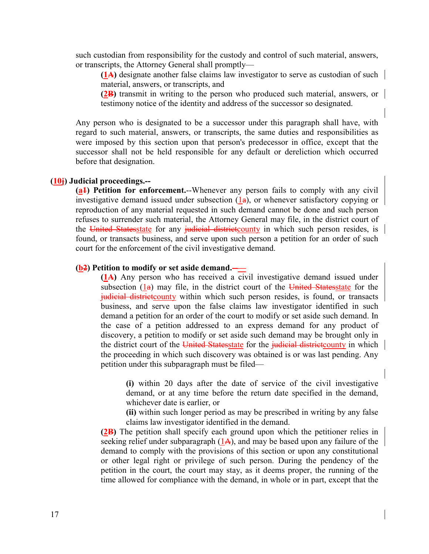such custodian from responsibility for the custody and control of such material, answers, or transcripts, the Attorney General shall promptly—

**(1A)** designate another false claims law investigator to serve as custodian of such material, answers, or transcripts, and

**(2B)** transmit in writing to the person who produced such material, answers, or testimony notice of the identity and address of the successor so designated.

Any person who is designated to be a successor under this paragraph shall have, with regard to such material, answers, or transcripts, the same duties and responsibilities as were imposed by this section upon that person's predecessor in office, except that the successor shall not be held responsible for any default or dereliction which occurred before that designation.

#### **(10j) Judicial proceedings.--**

**(a1) Petition for enforcement.**--Whenever any person fails to comply with any civil investigative demand issued under subsection  $(1a)$ , or whenever satisfactory copying or reproduction of any material requested in such demand cannot be done and such person refuses to surrender such material, the Attorney General may file, in the district court of the United Statesstate for any judicial district county in which such person resides, is found, or transacts business, and serve upon such person a petition for an order of such court for the enforcement of the civil investigative demand.

#### **(b2) Petition to modify or set aside demand.--—**

**(1A)** Any person who has received a civil investigative demand issued under subsection  $(1a)$  may file, in the district court of the United Statesstate for the judicial district county within which such person resides, is found, or transacts business, and serve upon the false claims law investigator identified in such demand a petition for an order of the court to modify or set aside such demand. In the case of a petition addressed to an express demand for any product of discovery, a petition to modify or set aside such demand may be brought only in the district court of the United Statesstate for the judicial district county in which the proceeding in which such discovery was obtained is or was last pending. Any petition under this subparagraph must be filed—

**(i)** within 20 days after the date of service of the civil investigative demand, or at any time before the return date specified in the demand, whichever date is earlier, or

**(ii)** within such longer period as may be prescribed in writing by any false claims law investigator identified in the demand.

**(2B)** The petition shall specify each ground upon which the petitioner relies in seeking relief under subparagraph  $(1, A)$ , and may be based upon any failure of the demand to comply with the provisions of this section or upon any constitutional or other legal right or privilege of such person. During the pendency of the petition in the court, the court may stay, as it deems proper, the running of the time allowed for compliance with the demand, in whole or in part, except that the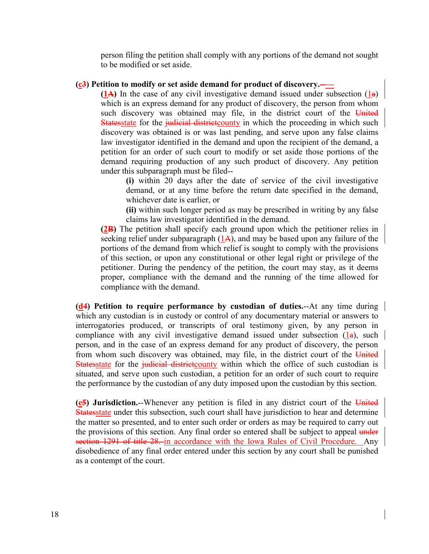person filing the petition shall comply with any portions of the demand not sought to be modified or set aside.

### **(c3) Petition to modify or set aside demand for product of discovery.--—**

 $(1A)$  In the case of any civil investigative demand issued under subsection  $(1a)$ which is an express demand for any product of discovery, the person from whom such discovery was obtained may file, in the district court of the United Statesstate for the judicial district county in which the proceeding in which such discovery was obtained is or was last pending, and serve upon any false claims law investigator identified in the demand and upon the recipient of the demand, a petition for an order of such court to modify or set aside those portions of the demand requiring production of any such product of discovery. Any petition under this subparagraph must be filed--

**(i)** within 20 days after the date of service of the civil investigative demand, or at any time before the return date specified in the demand, whichever date is earlier, or

**(ii)** within such longer period as may be prescribed in writing by any false claims law investigator identified in the demand.

**(2B)** The petition shall specify each ground upon which the petitioner relies in seeking relief under subparagraph  $(1)$ , and may be based upon any failure of the portions of the demand from which relief is sought to comply with the provisions of this section, or upon any constitutional or other legal right or privilege of the petitioner. During the pendency of the petition, the court may stay, as it deems proper, compliance with the demand and the running of the time allowed for compliance with the demand.

**(d4)** Petition to require performance by custodian of duties.--At any time during which any custodian is in custody or control of any documentary material or answers to interrogatories produced, or transcripts of oral testimony given, by any person in compliance with any civil investigative demand issued under subsection  $(1a)$ , such person, and in the case of an express demand for any product of discovery, the person from whom such discovery was obtained, may file, in the district court of the United Statesstate for the judicial district county within which the office of such custodian is situated, and serve upon such custodian, a petition for an order of such court to require the performance by the custodian of any duty imposed upon the custodian by this section.

**(e5) Jurisdiction.**--Whenever any petition is filed in any district court of the United Statesstate under this subsection, such court shall have jurisdiction to hear and determine the matter so presented, and to enter such order or orders as may be required to carry out the provisions of this section. Any final order so entered shall be subject to appeal under section 1291 of title 28. in accordance with the Iowa Rules of Civil Procedure. Any disobedience of any final order entered under this section by any court shall be punished as a contempt of the court.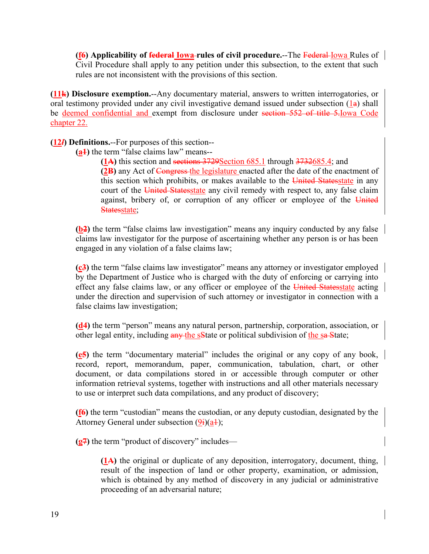**(f6) Applicability of <del>federal</del> Iowa-rules of civil procedure.--The <del>Federal Iowa</del> Rules of** Civil Procedure shall apply to any petition under this subsection, to the extent that such rules are not inconsistent with the provisions of this section.

**(11k) Disclosure exemption.**--Any documentary material, answers to written interrogatories, or oral testimony provided under any civil investigative demand issued under subsection  $(1a)$  shall be deemed confidential and exempt from disclosure under section 552 of title 5.Iowa Code chapter 22.

**(12***l***) Definitions.**--For purposes of this section--

**(a1)** the term "false claims law" means--

**(1A)** this section and sections 3729Section 685.1 through 3732685.4; and

**(2B)** any Act of Congress the legislature enacted after the date of the enactment of this section which prohibits, or makes available to the United Statesstate in any court of the United Statesstate any civil remedy with respect to, any false claim against, bribery of, or corruption of any officer or employee of the United Statesstate;

**(b2)** the term "false claims law investigation" means any inquiry conducted by any false claims law investigator for the purpose of ascertaining whether any person is or has been engaged in any violation of a false claims law;

**(c3)** the term "false claims law investigator" means any attorney or investigator employed by the Department of Justice who is charged with the duty of enforcing or carrying into effect any false claims law, or any officer or employee of the United Statesstate acting under the direction and supervision of such attorney or investigator in connection with a false claims law investigation;

**(d4)** the term "person" means any natural person, partnership, corporation, association, or other legal entity, including any the sState or political subdivision of the sa-State;

**(e5)** the term "documentary material" includes the original or any copy of any book, record, report, memorandum, paper, communication, tabulation, chart, or other document, or data compilations stored in or accessible through computer or other information retrieval systems, together with instructions and all other materials necessary to use or interpret such data compilations, and any product of discovery;

**(f6)** the term "custodian" means the custodian, or any deputy custodian, designated by the Attorney General under subsection  $(9\mathbf{i})(a\mathbf{1});$ 

**(g7)** the term "product of discovery" includes—

**(1A)** the original or duplicate of any deposition, interrogatory, document, thing, result of the inspection of land or other property, examination, or admission, which is obtained by any method of discovery in any judicial or administrative proceeding of an adversarial nature;